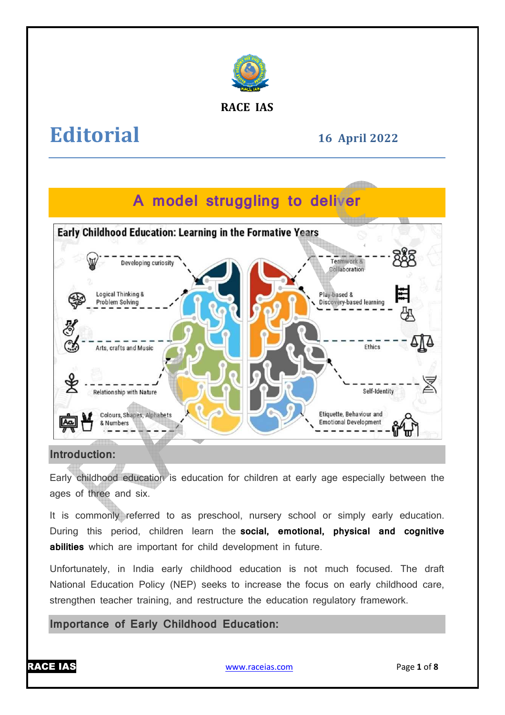

#### **RACE IAS**

# **Editorial**

### **16 April April 2022**

## **A model struggling to deliver**



#### **Introduction:**

Early childhood education is education for children at early age especially between the ages of three and six.

It is commonly referred to as preschool, nursery school or simply early education. During this period, children learn the **social, emotional, physical and cognitive abilities** which are important for child development in future.

Unfortunately, in India early childhood education is not much focused. The draft National Education Policy (NEP) seeks to increase the focus on early childhood care, strengthen teacher training, and restructure the education regulatory framework framework.

**Importance of Early Childhood Education Education:**

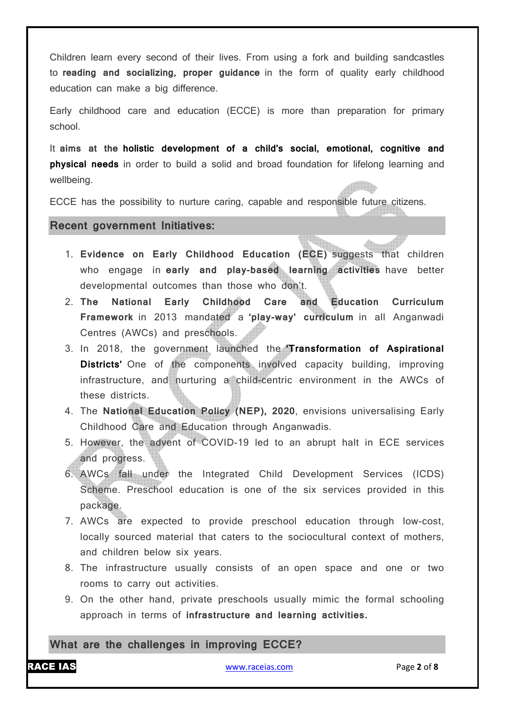Children learn every second of their lives. From using a fork and building sandcastles to **reading and socializing, proper guidance** in the form of quality early childhood education can make a big difference.

Early childhood care and education (ECCE) is more than preparation for primary school.

It **aims at the holistic development of a child's social, emotional, cognitive and physical needs** in order to build a solid and broad foundation for lifelong learning and wellbeing.

ECCE has the possibility to nurture caring, capable and responsible future citizens.

#### **Recent government Initiatives:**

- 1. **Evidence on Early Childhood Education (ECE)** suggests that children who engage in **early and play-based learning activities** have better developmental outcomes than those who don't.
- 2. **The National Early Childhood Care and Education Curriculum Framework** in 2013 mandated a **'play-way' curriculum** in all Anganwadi Centres (AWCs) and preschools.
- 3. In 2018, the government launched the **'Transformation of Aspirational Districts'** One of the components involved capacity building, improving infrastructure, and nurturing a child-centric environment in the AWCs of these districts.
- 4. The **National Education Policy (NEP), 2020**, envisions universalising Early Childhood Care and Education through Anganwadis.
- 5. However, the advent of COVID-19 led to an abrupt halt in ECE services and progress.
- 6. AWCs fall under the Integrated Child Development Services (ICDS) Scheme. Preschool education is one of the six services provided in this package.
- 7. AWCs are expected to provide preschool education through low-cost, locally sourced material that caters to the sociocultural context of mothers, and children below six years.
- 8. The infrastructure usually consists of an open space and one or two rooms to carry out activities.
- 9. On the other hand, private preschools usually mimic the formal schooling approach in terms of **infrastructure and learning activities.**

#### **What are the challenges in improving ECCE?**

RACE IAS www.raceias.com Page **2** of **8**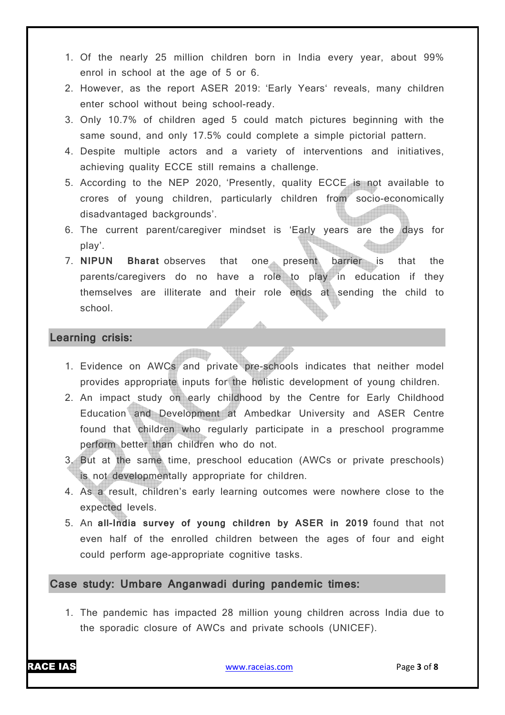- 1. Of the nearly 25 million children born in India every year, about 99% enrol in school at the age of 5 or 6.
- 2. However, as the report ASER 2019: 'Early Years' reveals, many children enter school without being school-ready.
- 3. Only 10.7% of children aged 5 could match pictures beginning with the same sound, and only 17.5% could complete a simple pictorial pattern.
- 4. Despite multiple actors and a variety of interventions and initiatives, achieving quality ECCE still remains a challenge.
- 5. According to the NEP 2020, 'Presently, quality ECCE is not available to crores of young children, particularly children from socio-economically disadvantaged backgrounds'.
- 6. The current parent/caregiver mindset is 'Early years are the days for play'.
- 7. **NIPUN Bharat** observes that one present barrier is that the parents/caregivers do no have a role to play in education if they themselves are illiterate and their role ends at sending the child to school.

#### **Learning crisis:**

- 1. Evidence on AWCs and private pre-schools indicates that neither model provides appropriate inputs for the holistic development of young children.
- 2. An impact study on early childhood by the Centre for Early Childhood Education and Development at Ambedkar University and ASER Centre found that children who regularly participate in a preschool programme perform better than children who do not.
- 3. But at the same time, preschool education (AWCs or private preschools) is not developmentally appropriate for children.
- 4. As a result, children's early learning outcomes were nowhere close to the expected levels.
- 5. An **all-India survey of young children by ASER in 2019** found that not even half of the enrolled children between the ages of four and eight could perform age-appropriate cognitive tasks.

#### **Case study: Umbare Anganwadi during pandemic times:**

1. The pandemic has impacted 28 million young children across India due to the sporadic closure of AWCs and private schools (UNICEF).

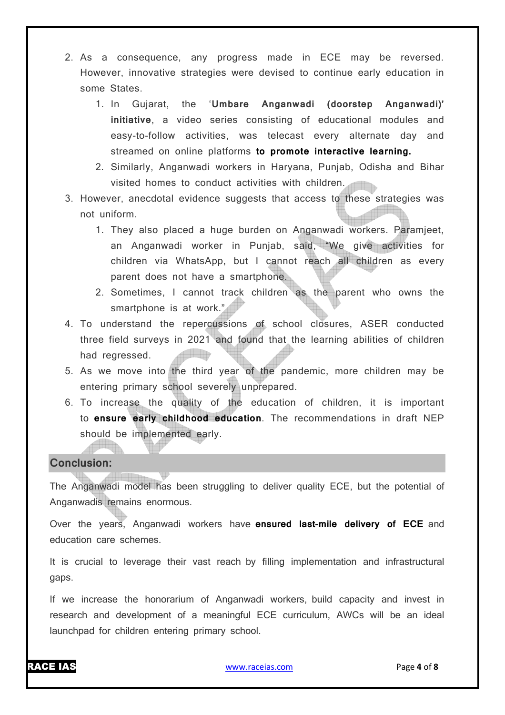- 2. As a consequence, any progress made in ECE may be reversed. However, innovative strategies were devised to continue early education in some States.
	- 1. In Gujarat, the '**Umbare Anganwadi (doorstep Anganwadi)' initiative**, a video series consisting of educational modules and easy-to-follow activities, was telecast every alternate day and streamed on online platforms **to promote interactive learning.**
	- 2. Similarly, Anganwadi workers in Haryana, Punjab, Odisha and Bihar visited homes to conduct activities with children.
- 3. However, anecdotal evidence suggests that access to these strategies was not uniform.
	- 1. They also placed a huge burden on Anganwadi workers. Paramjeet, an Anganwadi worker in Punjab, said, "We give activities for children via WhatsApp, but I cannot reach all children as every parent does not have a smartphone.
	- 2. Sometimes, I cannot track children as the parent who owns the smartphone is at work."
- 4. To understand the repercussions of school closures, ASER conducted three field surveys in 2021 and found that the learning abilities of children had regressed.
- 5. As we move into the third year of the pandemic, more children may be entering primary school severely unprepared.
- 6. To increase the quality of the education of children, it is important to **ensure early childhood education**. The recommendations in draft NEP should be implemented early.

#### **Conclusion:**

The Anganwadi model has been struggling to deliver quality ECE, but the potential of Anganwadis remains enormous.

Over the years, Anganwadi workers have **ensured last-mile delivery of ECE** and education care schemes.

It is crucial to leverage their vast reach by filling implementation and infrastructural gaps.

If we increase the honorarium of Anganwadi workers, build capacity and invest in research and development of a meaningful ECE curriculum, AWCs will be an ideal launchpad for children entering primary school.

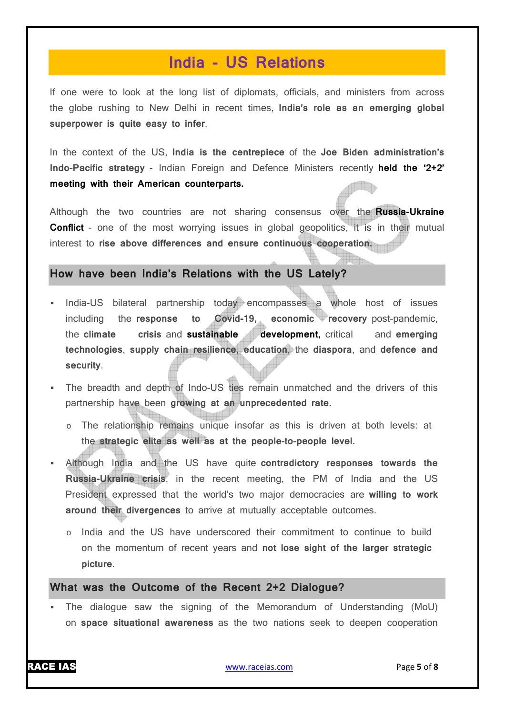### **India - US Relations**

If one were to look at the long list of diplomats, officials, and ministers from across the globe rushing to New Delhi in recent times, **India's role as an emerging global superpower is quite easy to infer**.

In the context of the US, **India is the centrepiece** of the **Joe Biden administration's Indo-Pacific strategy** - Indian Foreign and Defence Ministers recently **held the '2+2' meeting with their American counterparts.**

Although the two countries are not sharing consensus over the **Russia-Ukraine Conflict** - one of the most worrying issues in global geopolitics, it is in their mutual interest to **rise above differences and ensure continuous cooperation.**

#### **How have been India's Relations with the US Lately?**

- India-US bilateral partnership today encompasses a whole host of issues including the **response to Covid-19, economic recovery** post-pandemic, the **climate crisis** and **sustainable development,** critical and **emerging technologies**, **supply chain resilience**, **education**, the **diaspora**, and **defence and security**.
- The breadth and depth of Indo-US ties remain unmatched and the drivers of this partnership have been **growing at an unprecedented rate.**
	- o The relationship remains unique insofar as this is driven at both levels: at the **strategic elite as well as at the people-to-people level.**
- Although India and the US have quite **contradictory responses towards the Russia-Ukraine crisis**, in the recent meeting, the PM of India and the US President expressed that the world's two major democracies are **willing to work around their divergences** to arrive at mutually acceptable outcomes.
	- o India and the US have underscored their commitment to continue to build on the momentum of recent years and **not lose sight of the larger strategic picture.**

#### **What was the Outcome of the Recent 2+2 Dialogue?**

 The dialogue saw the signing of the Memorandum of Understanding (MoU) on **space situational awareness** as the two nations seek to deepen cooperation

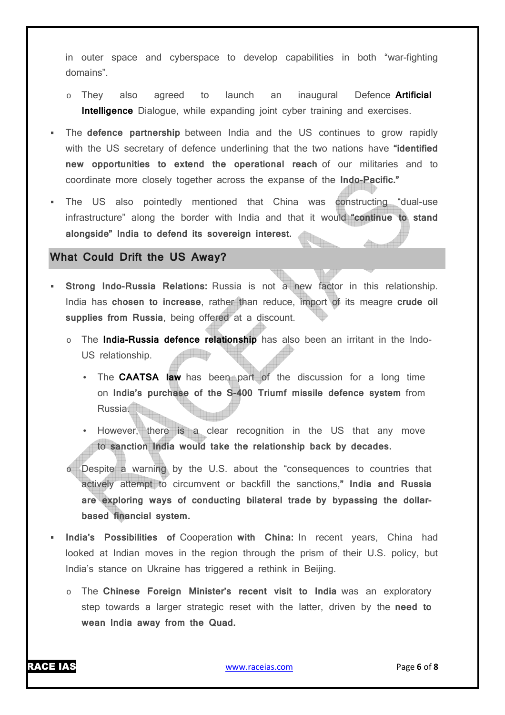in outer space and cyberspace to develop capabilities in both "war-fighting domains".

- o They also agreed to launch an inaugural Defence **Artificial Intelligence** Dialogue, while expanding joint cyber training and exercises.
- The **defence partnership** between India and the US continues to grow rapidly with the US secretary of defence underlining that the two nations have **"identified new opportunities to extend the operational reach** of our militaries and to coordinate more closely together across the expanse of the **Indo-Pacific."**
- The US also pointedly mentioned that China was constructing "dual-use infrastructure" along the border with India and that it would **"continue to stand alongside" India to defend its sovereign interest.**

#### **What Could Drift the US Away?**

- **Strong Indo-Russia Relations:** Russia is not a new factor in this relationship. India has **chosen to increase**, rather than reduce, import of its meagre **crude oil supplies from Russia**, being offered at a discount.
	- o The **India-Russia defence relationship** has also been an irritant in the Indo-US relationship.
		- The **CAATSA law** has been part of the discussion for a long time on **India's purchase of the S-400 Triumf missile defence system** from Russia.
		- However, there is a clear recognition in the US that any move to **sanction India would take the relationship back by decades.**
	- o Despite a warning by the U.S. about the "consequences to countries that actively attempt to circumvent or backfill the sanctions,**" India and Russia are exploring ways of conducting bilateral trade by bypassing the dollarbased financial system.**
- **India's Possibilities of** Cooperation **with China:** In recent years, China had looked at Indian moves in the region through the prism of their U.S. policy, but India's stance on Ukraine has triggered a rethink in Beijing.
	- o The **Chinese Foreign Minister's recent visit to India** was an exploratory step towards a larger strategic reset with the latter, driven by the **need to wean India away from the Quad.**

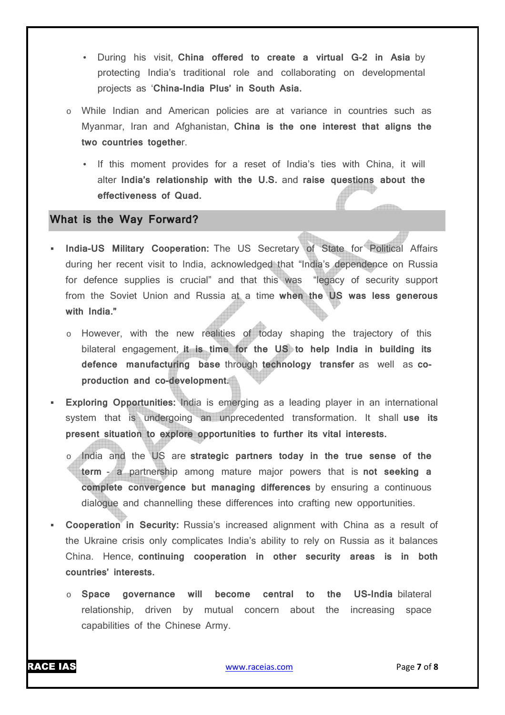- During his visit, **China offered to create a virtual G-2 in Asia** by protecting India's traditional role and collaborating on developmental projects as '**China-India Plus' in South Asia.**
- o While Indian and American policies are at variance in countries such as Myanmar, Iran and Afghanistan, **China is the one interest that aligns the two countries togethe**r.
	- If this moment provides for a reset of India's ties with China, it will alter **India's relationship with the U.S.** and **raise questions about the effectiveness of Quad.**

#### **What is the Way Forward?**

- **India-US Military Cooperation:** The US Secretary of State for Political Affairs during her recent visit to India, acknowledged that "India's dependence on Russia for defence supplies is crucial" and that this was "legacy of security support from the Soviet Union and Russia at a time **when the US was less generous with India."**
	- o However, with the new realities of today shaping the trajectory of this bilateral engagement, **it is time for the US to help India in building its defence manufacturing base** through **technology transfer** as well as **coproduction and co-development.**
- **Exploring Opportunities:** India is emerging as a leading player in an international system that is undergoing an unprecedented transformation. It shall **use its present situation to explore opportunities to further its vital interests.**
	- India and the US are strategic partners today in the true sense of the **term** - a partnership among mature major powers that is **not seeking a complete convergence but managing differences** by ensuring a continuous dialogue and channelling these differences into crafting new opportunities.
- **Cooperation in Security:** Russia's increased alignment with China as a result of the Ukraine crisis only complicates India's ability to rely on Russia as it balances China. Hence, **continuing cooperation in other security areas is in both countries' interests.**
	- o **Space governance will become central to the US-India** bilateral relationship, driven by mutual concern about the increasing space capabilities of the Chinese Army.